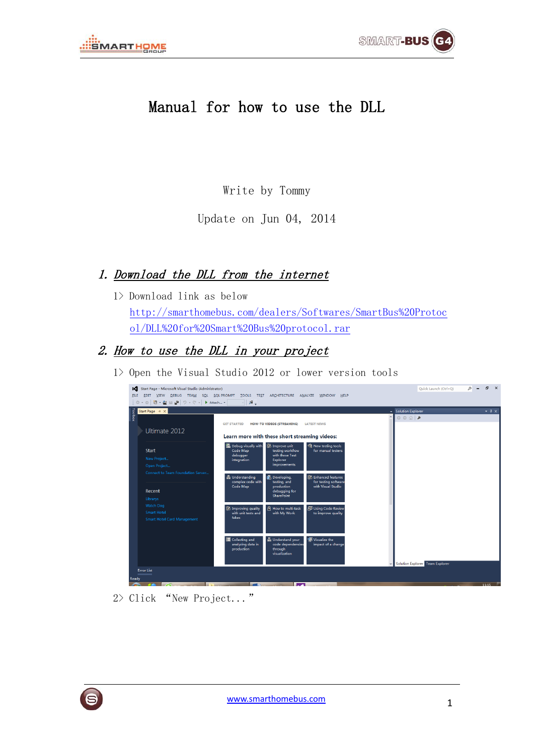

## Manual for how to use the DLL

Write by Tommy

Update on Jun 04, 2014

## 1. Download the DLL from the internet

1> Download link as below [http://smarthomebus.com/dealers/Softwares/SmartBus%20Protoc](http://smarthomebus.com/dealers/Softwares/SmartBus%20Protocol/DLL%20for%20Smart%20Bus%20protocol.rar) [ol/DLL%20for%20Smart%20Bus%20protocol.rar](http://smarthomebus.com/dealers/Softwares/SmartBus%20Protocol/DLL%20for%20Smart%20Bus%20protocol.rar)

## 2. How to use the DLL in your project

1> Open the Visual Studio 2012 or lower version tools

| Start Page $\exists x$                                                       |                                                                                                                                                                                                                       | $-4x$<br>v Solution Explorer      |
|------------------------------------------------------------------------------|-----------------------------------------------------------------------------------------------------------------------------------------------------------------------------------------------------------------------|-----------------------------------|
|                                                                              | <b>HOW-TO VIDEOS (STREAMING)</b><br><b>LATEST NEWS</b><br><b>GET STARTED</b>                                                                                                                                          | $\circ \circ \circ   \mathcal{L}$ |
| Ultimate 2012                                                                | Learn more with these short streaming videos:                                                                                                                                                                         |                                   |
| <b>Start</b><br>New Project<br>Open Project                                  | <b>B</b> Improve unit<br><b>O</b> New testing tools<br><b>图 Debug visually with</b><br>Code Map<br>testing workflow<br>for manual testers<br>with these Test<br>debugger<br>Explorer<br>integration<br>improvements   |                                   |
| Connect to Team Foundation Server<br>Recent<br>Librarys                      | <b>R</b> Developing,<br>品 Understanding<br><b>&amp; Enhanced features</b><br>complex code with<br>testing, and<br>for testing software<br>Code Map<br>production<br>with Visual Studio<br>debugging for<br>SharePoint |                                   |
| <b>Watch Dog</b><br><b>Smart Hotel</b><br><b>Smart Hotel Card Management</b> | <b>屏 Using Code Review</b><br><b>B</b> How to multi-task<br><b>图 Improving quality</b><br>with unit tests and<br>with My Work<br>to improve quality<br>fakes                                                          |                                   |
|                                                                              | <b>En Understand your</b><br>Visualize the<br><b>国</b> Collecting and<br>code dependencies<br>analyzing data in<br>impact of a change<br>production<br>through<br>visualization                                       |                                   |

2> Click "New Project..."

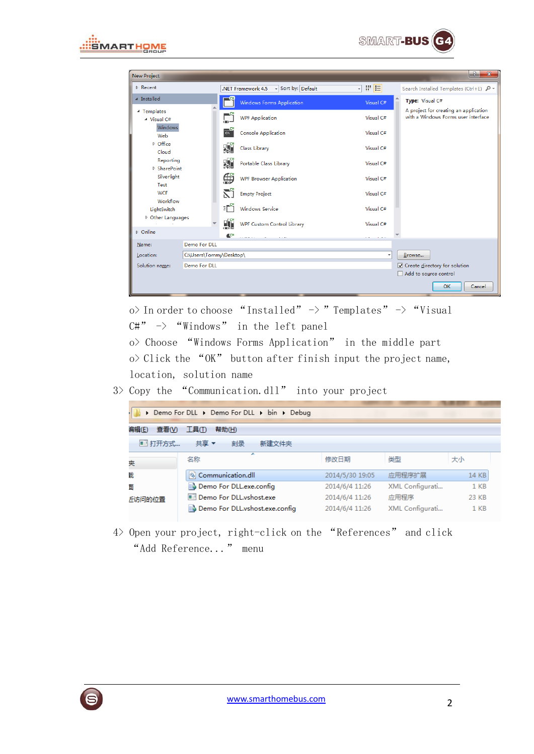



| $-2$<br>$\mathbf{x}$<br>New Project  |                         |                |                                          |                                         |                                                                              |
|--------------------------------------|-------------------------|----------------|------------------------------------------|-----------------------------------------|------------------------------------------------------------------------------|
| <b>D</b> Recent                      |                         |                | - Sort by: Default<br>.NET Framework 4.5 | 開日<br>$\cdot$                           | Search Installed Templates (Ctrl+E) P +                                      |
| ▲ Installed                          |                         |                | <b>Windows Forms Application</b>         | Visual C#                               | Type: Visual C#                                                              |
| ▲ Templates<br>$\triangle$ Visual C# |                         |                | <b>WPF Application</b>                   | Visual C#                               | A project for creating an application<br>with a Windows Forms user interface |
| Windows<br>Web                       |                         | $\frac{1}{2}$  | Console Application                      | Visual C#                               |                                                                              |
| $D$ Office<br>Cloud                  |                         | 婚              | Class Library                            | Visual C#                               |                                                                              |
| Reporting<br>▷ SharePoint            |                         | 婚              | Portable Class Library                   | Visual C#                               |                                                                              |
| Silverlight<br>Test                  |                         | ⊕              | <b>WPF Browser Application</b>           | Visual C#                               |                                                                              |
| <b>WCF</b><br>Workflow               |                         | ۲i             | <b>Empty Project</b>                     | Visual C#                               |                                                                              |
| LightSwitch                          |                         | эĒ             | <b>Windows Service</b>                   | Visual C#                               |                                                                              |
| D Other Languages                    |                         | ЦÏ             | <b>WPF Custom Control Library</b>        | Visual C#                               |                                                                              |
| D Online                             |                         | $\mathbb{C}^*$ | 1.14                                     | $\mathbf{r}$ and $\mathbf{r}$<br>$\sim$ |                                                                              |
| Name:                                | Demo For DLL            |                |                                          |                                         |                                                                              |
| Location:                            | C:\Users\Tommy\Desktop\ |                |                                          |                                         | Browse                                                                       |
| Demo For DLL<br>Solution name:       |                         |                |                                          |                                         | $\triangledown$ Create directory for solution                                |
|                                      |                         |                |                                          |                                         | Add to source control                                                        |
|                                      |                         |                |                                          |                                         | OK<br>Cancel                                                                 |

o> In order to choose "Installed"  $\rightarrow$  "Templates"  $\rightarrow$  "Visual  $C#'' \rightarrow$  "Windows" in the left panel

o> Choose "Windows Forms Application" in the middle part  $\infty$  Click the "OK" button after finish input the project name, location, solution name

3> Copy the "Communication.dll" into your project

| Demo For DLL Demo For DLL Din Debug      |                                 |                 |                 |                 |  |
|------------------------------------------|---------------------------------|-----------------|-----------------|-----------------|--|
| <b>扁辑(E)</b><br>  查看(V) <br>帮助(H)<br>工具① |                                 |                 |                 |                 |  |
| ■ 打开方式…                                  | 共享▼<br>新建文件夹<br>刻录              |                 |                 |                 |  |
| 奜                                        | ┻<br>名称                         | 修改日期            | 类型              | 大小              |  |
| 眬                                        | Communication.dll               | 2014/5/30 19:05 | 应用程序扩展          | 14 KB           |  |
| 面                                        | Demo For DLL.exe.config         | 2014/6/4 11:26  | XML Configurati | 1 <sub>KB</sub> |  |
| 斤访问的位置                                   | Demo For DLL.vshost.exe         | 2014/6/4 11:26  | 应用程序            | 23 KB           |  |
|                                          | Demo For DLL, vshost.exe.config | 2014/6/4 11:26  | XML Configurati | $1$ KB          |  |

4> Open your project, right-click on the "References" and click "Add Reference..." menu

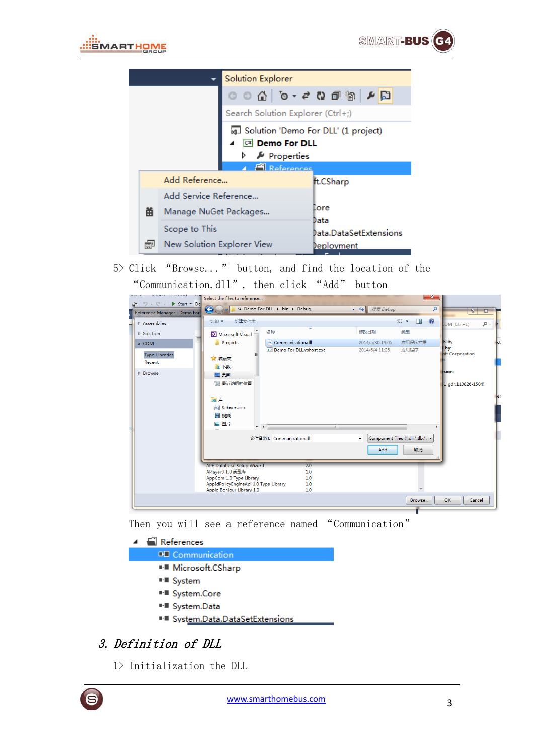



| Solution Explorer                      |                            |                                   |                        |
|----------------------------------------|----------------------------|-----------------------------------|------------------------|
|                                        |                            |                                   |                        |
|                                        |                            | Search Solution Explorer (Ctrl+;) |                        |
| GJ Solution 'Demo For DLL' (1 project) |                            |                                   |                        |
| C <sup>#</sup> Demo For DLL            |                            |                                   |                        |
| D Properties                           |                            |                                   |                        |
| <b>References</b>                      |                            |                                   |                        |
|                                        | Add Reference              | ft.CSharp                         |                        |
|                                        | Add Service Reference      |                                   |                        |
| 畄                                      | Manage NuGet Packages      | Eore                              |                        |
|                                        |                            | Data                              |                        |
|                                        | Scope to This              |                                   | Data.DataSetExtensions |
| 圃                                      | New Solution Explorer View |                                   | <u>Deployment</u>      |

5> Click "Browse..." button, and find the location of the "Communication.dll", then click "Add" button

| <b>DUILD</b><br>DEDOU<br>NUJEUT<br>rige i<br>$\mathbf{v} \in \mathbb{C}^n$<br>$\triangleright$ Start $\triangleright$ De<br>5 | Select the files to reference                             | $\mathbf{x}$                                                     |
|-------------------------------------------------------------------------------------------------------------------------------|-----------------------------------------------------------|------------------------------------------------------------------|
| Reference Manager - Demo For                                                                                                  | « Demo For DLL > bin > Debug<br>$\leftarrow$              | $\mathbf{v}$ $\mathbf{t}$<br>搜索 Debug<br>٩<br>$8$ $\overline{8}$ |
| Assemblies                                                                                                                    | 新建文件夹<br>细织▼                                              | $\circledR$<br>988 ▼<br>$\Box$<br>- م<br>$COM (Ctrl + E)$        |
| <b>D</b> Solution                                                                                                             | 名称<br>M Microsoft Visual                                  | 类型<br>修改日期                                                       |
| $\triangle$ COM                                                                                                               | Projects<br>© Communication.dll<br>n.                     | bility<br>应用程序扩展<br>2014/5/30 19:05                              |
| <b>Type Libraries</b><br>Recent                                                                                               | Demo For DLL, vshost.exe<br>☆ 收藏夹<br><b>A</b> 下载          | by:<br>应用程序<br>2014/6/4 11:26<br>oft Corporation                 |
| <b>D</b> Browse                                                                                                               | ■ 卓面                                                      | rsion:                                                           |
|                                                                                                                               | 图 最近访问的位置                                                 | 1 gdr.110826-1504)                                               |
|                                                                                                                               | 高库                                                        |                                                                  |
|                                                                                                                               | Subversion                                                |                                                                  |
|                                                                                                                               | ■ 视频                                                      |                                                                  |
|                                                                                                                               | 三 图片<br>$\mathbf{m}_1$<br>$-4$<br>$\equiv$                |                                                                  |
|                                                                                                                               | 文件名(N): Communication.dll                                 | Component Files (*.dll;*.tlb;*. *<br>$\blacktriangledown$        |
|                                                                                                                               |                                                           | Add<br>取消                                                        |
|                                                                                                                               | <b>APE Database Setup Wizard</b><br>2.0                   |                                                                  |
|                                                                                                                               | APlayer3 1.0 类型库<br>1.0<br>AppCom 1.0 Type Library<br>1.0 |                                                                  |
|                                                                                                                               | AppIdPolicyEngineApi 1.0 Type Library<br>1.0              |                                                                  |
|                                                                                                                               | Apple Bonjour Library 1.0<br>1.0                          |                                                                  |
|                                                                                                                               |                                                           | OK<br>Browse<br>Cancel                                           |
|                                                                                                                               |                                                           |                                                                  |

Then you will see a reference named "Communication"

- $\blacktriangle$   $\blacksquare$  References **DE** Communication ■ Microsoft.CSharp **■ System** <sup>■-■</sup> System.Core <sup>■-■</sup> System.Data
	- ■■ System.Data.DataSetExtensions

## 3. Definition of DLL

1> Initialization the DLL